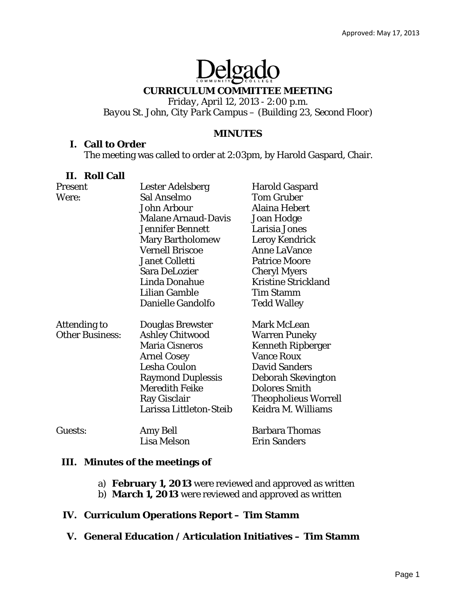# Delgado

# **CURRICULUM COMMITTEE MEETING**

*Friday, April 12, 2013 - 2:00 p.m. Bayou St. John, City Park Campus – (Building 23, Second Floor)* 

## **MINUTES**

#### **I. Call to Order**

The meeting was called to order at 2:03pm, by Harold Gaspard, Chair.

## **II. Roll Call**

| Present                | Lester Adelsberg           | <b>Harold Gaspard</b>       |
|------------------------|----------------------------|-----------------------------|
| Were:                  | Sal Anselmo                | <b>Tom Gruber</b>           |
|                        | <b>John Arbour</b>         | Alaina Hebert               |
|                        | <b>Malane Arnaud-Davis</b> | <b>Joan Hodge</b>           |
|                        | <b>Jennifer Bennett</b>    | Larisia Jones               |
|                        | <b>Mary Bartholomew</b>    | <b>Leroy Kendrick</b>       |
|                        | <b>Vernell Briscoe</b>     | <b>Anne LaVance</b>         |
|                        | <b>Janet Colletti</b>      | <b>Patrice Moore</b>        |
|                        | Sara DeLozier              | <b>Cheryl Myers</b>         |
|                        | Linda Donahue              | <b>Kristine Strickland</b>  |
|                        | Lilian Gamble              | <b>Tim Stamm</b>            |
|                        | Danielle Gandolfo          | <b>Tedd Walley</b>          |
| Attending to           | Douglas Brewster           | <b>Mark McLean</b>          |
| <b>Other Business:</b> | <b>Ashley Chitwood</b>     | <b>Warren Puneky</b>        |
|                        | <b>Maria Cisneros</b>      | <b>Kenneth Ripberger</b>    |
|                        | <b>Arnel Cosey</b>         | <b>Vance Roux</b>           |
|                        | <b>Lesha Coulon</b>        | <b>David Sanders</b>        |
|                        | <b>Raymond Duplessis</b>   | Deborah Skevington          |
|                        | <b>Meredith Feike</b>      | <b>Dolores Smith</b>        |
|                        | Ray Gisclair               | <b>Theopholieus Worrell</b> |
|                        | Larissa Littleton-Steib    | Keidra M. Williams          |
| Guests:                | Amy Bell                   | <b>Barbara Thomas</b>       |
|                        | Lisa Melson                | <b>Erin Sanders</b>         |

## **III. Minutes of the meetings of**

- a) **February 1, 2013** were reviewed and approved as written
- b) **March 1, 2013** were reviewed and approved as written

# **IV. Curriculum Operations Report – Tim Stamm**

**V. General Education / Articulation Initiatives – Tim Stamm**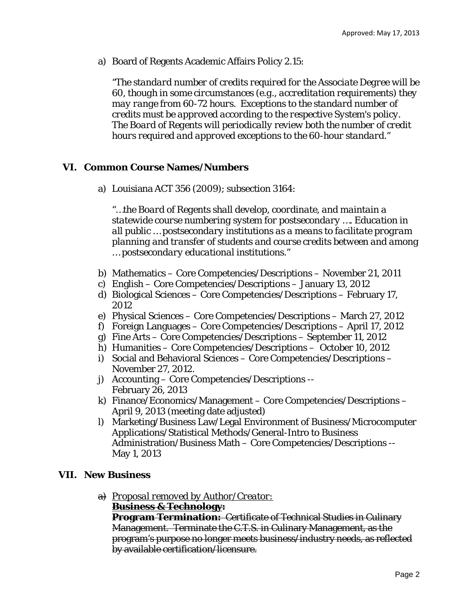a) Board of Regents Academic Affairs Policy 2.15:

*"The standard number of credits required for the Associate Degree will be 60, though in some circumstances (e.g., accreditation requirements) they may range from 60-72 hours. Exceptions to the standard number of credits must be approved according to the respective System's policy. The Board of Regents will periodically review both the number of credit hours required and approved exceptions to the 60-hour standard."*

## **VI. Common Course Names/Numbers**

a) Louisiana ACT 356 (2009); subsection 3164:

*"…the Board of Regents shall develop, coordinate, and maintain a statewide course numbering system for postsecondary …. Education in all public … postsecondary institutions as a means to facilitate program planning and transfer of students and course credits between and among … postsecondary educational institutions."* 

- b) Mathematics Core Competencies/Descriptions November 21, 2011
- c) English Core Competencies/Descriptions January 13, 2012
- d) Biological Sciences Core Competencies/Descriptions February 17, 2012
- e) Physical Sciences Core Competencies/Descriptions March 27, 2012
- f) Foreign Languages Core Competencies/Descriptions April 17, 2012
- g) Fine Arts Core Competencies/Descriptions September 11, 2012
- h) Humanities Core Competencies/Descriptions October 10, 2012
- i) Social and Behavioral Sciences Core Competencies/Descriptions November 27, 2012.
- j) Accounting Core Competencies/Descriptions -- February 26, 2013
- k) Finance/Economics/Management Core Competencies/Descriptions April 9, 2013 (meeting date adjusted)
- l) Marketing/Business Law/Legal Environment of Business/Microcomputer Applications/Statistical Methods/General-Intro to Business Administration/Business Math – Core Competencies/Descriptions -- May 1, 2013

## **VII. New Business**

a) *Proposal removed by Author/Creator:* **Business & Technology:** 

**Program Termination:** Certificate of Technical Studies in Culinary Management. Terminate the C.T.S. in Culinary Management, as the program's purpose no longer meets business/industry needs, as reflected by available certification/licensure.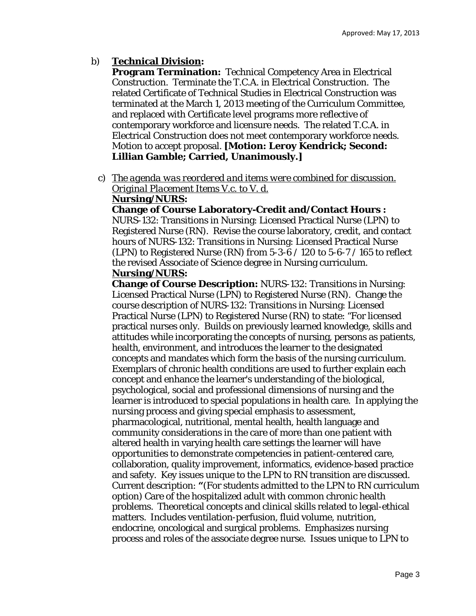#### b) **Technical Division:**

**Program Termination:** Technical Competency Area in Electrical Construction. Terminate the T.C.A. in Electrical Construction. The related Certificate of Technical Studies in Electrical Construction was terminated at the March 1, 2013 meeting of the Curriculum Committee, and replaced with Certificate level programs more reflective of contemporary workforce and licensure needs. The related T.C.A. in Electrical Construction does not meet contemporary workforce needs. Motion to accept proposal. **[Motion: Leroy Kendrick; Second: Lillian Gamble; Carried, Unanimously.]** 

c) *The agenda was reordered and items were combined for discussion. Original Placement Items V.c. to V. d.* 

#### **Nursing/NURS:**

**Change of Course Laboratory-Credit and/Contact Hours :** NURS-132: Transitions in Nursing: Licensed Practical Nurse (LPN) to Registered Nurse (RN). Revise the course laboratory, credit, and contact hours of NURS-132: Transitions in Nursing: Licensed Practical Nurse (LPN) to Registered Nurse (RN) *from* 5-3-6 / 120 *to* 5-6-7 / 165 to reflect the revised Associate of Science degree in Nursing curriculum. **Nursing/NURS:** 

**Change of Course Description:** NURS-132: Transitions in Nursing: Licensed Practical Nurse (LPN) to Registered Nurse (RN). Change the course description of NURS-132: Transitions in Nursing: Licensed Practical Nurse (LPN) to Registered Nurse (RN) to state: "For licensed practical nurses only. Builds on previously learned knowledge, skills and attitudes while incorporating the concepts of nursing, persons as patients, health, environment, and introduces the learner to the designated concepts and mandates which form the basis of the nursing curriculum. Exemplars of chronic health conditions are used to further explain each concept and enhance the learner's understanding of the biological, psychological, social and professional dimensions of nursing and the learner is introduced to special populations in health care. In applying the nursing process and giving special emphasis to assessment, pharmacological, nutritional, mental health, health language and community considerations in the care of more than one patient with altered health in varying health care settings the learner will have opportunities to demonstrate competencies in patient-centered care, collaboration, quality improvement, informatics, evidence-based practice and safety. Key issues unique to the LPN to RN transition are discussed. Current description: **"**(For students admitted to the LPN to RN curriculum option) Care of the hospitalized adult with common chronic health problems. Theoretical concepts and clinical skills related to legal-ethical matters. Includes ventilation-perfusion, fluid volume, nutrition, endocrine, oncological and surgical problems. Emphasizes nursing process and roles of the associate degree nurse. Issues unique to LPN to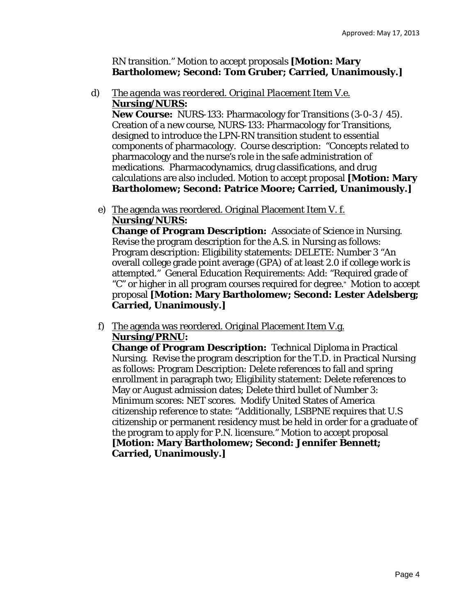## RN transition." Motion to accept proposals **[Motion: Mary Bartholomew; Second: Tom Gruber; Carried, Unanimously.]**

d) *The agenda was reordered. Original Placement Item V.e.*  **Nursing/NURS:** 

**New Course:** NURS-133: Pharmacology for Transitions (3-0-3 / 45). Creation of a new course, NURS-133: Pharmacology for Transitions, designed to introduce the LPN-RN transition student to essential components of pharmacology. Course description: "Concepts related to pharmacology and the nurse's role in the safe administration of medications. Pharmacodynamics, drug classifications, and drug calculations are also included. Motion to accept proposal **[Motion: Mary Bartholomew; Second: Patrice Moore; Carried, Unanimously.]** 

e) The agenda was reordered. Original Placement Item V. f. **Nursing/NURS:** 

**Change of Program Description:** Associate of Science in Nursing. Revise the program description for the A.S. in Nursing as follows: Program description: Eligibility statements: DELETE: Number 3 "An overall college grade point average (GPA) of at least 2.0 if college work is attempted." General Education Requirements: Add: "Required grade of "C" or higher in all program courses required for degree." Motion to accept proposal **[Motion: Mary Bartholomew; Second: Lester Adelsberg; Carried, Unanimously.]** 

f) The agenda was reordered. Original Placement Item V.g. **Nursing/PRNU:** 

**Change of Program Description:** Technical Diploma in Practical Nursing. Revise the program description for the T.D. in Practical Nursing as follows: Program Description: Delete references to fall and spring enrollment in paragraph two; Eligibility statement: Delete references to May or August admission dates; Delete third bullet of Number 3: Minimum scores: NET scores. Modify United States of America citizenship reference to state: "Additionally, LSBPNE requires that U.S citizenship or permanent residency must be held in order for a graduate of the program to apply for P.N. licensure." Motion to accept proposal **[Motion: Mary Bartholomew; Second: Jennifer Bennett; Carried, Unanimously.]**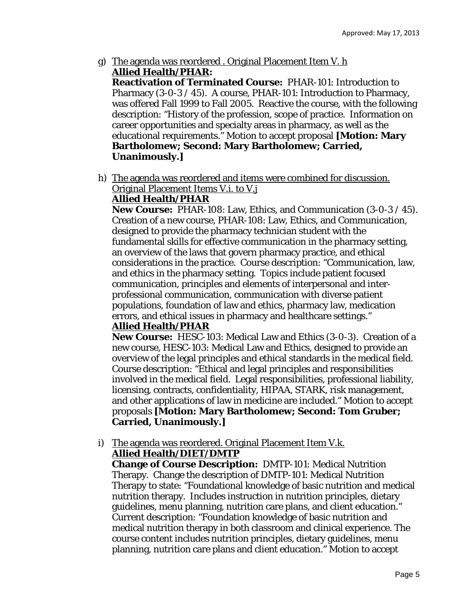g) The agenda was reordered . Original Placement Item V. h **Allied Health/PHAR:** 

**Reactivation of Terminated Course:** PHAR-101: Introduction to Pharmacy  $(3-0-3/45)$ . A course, PHAR-101: Introduction to Pharmacy, was offered Fall 1999 to Fall 2005. Reactive the course, with the following description: "History of the profession, scope of practice. Information on career opportunities and specialty areas in pharmacy, as well as the educational requirements." Motion to accept proposal **[Motion: Mary Bartholomew; Second: Mary Bartholomew; Carried, Unanimously.]** 

h) The agenda was reordered and items were combined for discussion. Original Placement Items V.i. to V.j

# **Allied Health/PHAR**

**New Course:** PHAR-108: Law, Ethics, and Communication (3-0-3 / 45). Creation of a new course, PHAR-108: Law, Ethics, and Communication, designed to provide the pharmacy technician student with the fundamental skills for effective communication in the pharmacy setting, an overview of the laws that govern pharmacy practice, and ethical considerations in the practice. Course description: "Communication, law, and ethics in the pharmacy setting. Topics include patient focused communication, principles and elements of interpersonal and interprofessional communication, communication with diverse patient populations, foundation of law and ethics, pharmacy law, medication errors, and ethical issues in pharmacy and healthcare settings."

## **Allied Health/PHAR**

**New Course:** HESC-103: Medical Law and Ethics (3-0-3). Creation of a new course, HESC-103: Medical Law and Ethics, designed to provide an overview of the legal principles and ethical standards in the medical field. Course description: "Ethical and legal principles and responsibilities involved in the medical field. Legal responsibilities, professional liability, licensing, contracts, confidentiality, HIPAA, STARK, risk management, and other applications of law in medicine are included." Motion to accept proposals **[Motion: Mary Bartholomew; Second: Tom Gruber; Carried, Unanimously.]** 

#### i) The agenda was reordered. Original Placement Item V.k. **Allied Health/DIET/DMTP**

**Change of Course Description:** DMTP-101: Medical Nutrition Therapy. Change the description of DMTP-101: Medical Nutrition Therapy to state: "Foundational knowledge of basic nutrition and medical nutrition therapy. Includes instruction in nutrition principles, dietary guidelines, menu planning, nutrition care plans, and client education." Current description: "Foundation knowledge of basic nutrition and medical nutrition therapy in both classroom and clinical experience. The course content includes nutrition principles, dietary guidelines, menu planning, nutrition care plans and client education." Motion to accept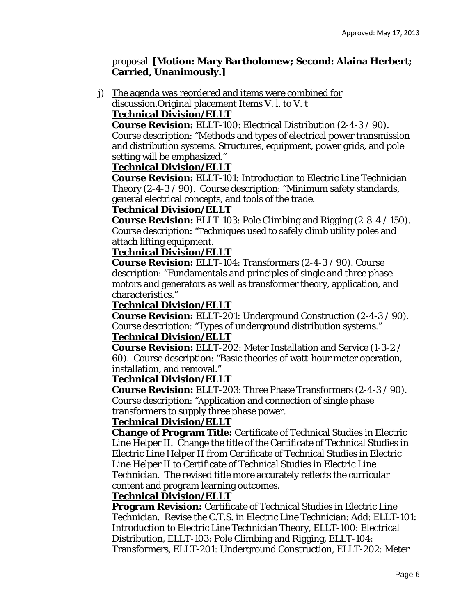## proposal **[Motion: Mary Bartholomew; Second: Alaina Herbert; Carried, Unanimously.]**

j) The agenda was reordered and items were combined for discussion.Original placement Items V. l. to V. t

## **Technical Division/ELLT**

**Course Revision:** ELLT-100: Electrical Distribution (2-4-3 / 90). Course description: "Methods and types of electrical power transmission and distribution systems. Structures, equipment, power grids, and pole setting will be emphasized."

## **Technical Division/ELLT**

**Course Revision:** ELLT-101: Introduction to Electric Line Technician Theory (2-4-3 / 90). Course description: "Minimum safety standards, general electrical concepts, and tools of the trade.

## **Technical Division/ELLT**

**Course Revision:** ELLT-103: Pole Climbing and Rigging (2-8-4 / 150). Course description: "Techniques used to safely climb utility poles and attach lifting equipment.

## **Technical Division/ELLT**

**Course Revision:** ELLT-104: Transformers (2-4-3 / 90). Course description: "Fundamentals and principles of single and three phase motors and generators as well as transformer theory, application, and characteristics."

#### **Technical Division/ELLT**

**Course Revision:** ELLT-201: Underground Construction (2-4-3 / 90). Course description: "Types of underground distribution systems." **Technical Division/ELLT** 

**Course Revision:** ELLT-202: Meter Installation and Service (1-3-2 / 60). Course description: "Basic theories of watt-hour meter operation, installation, and removal."

#### **Technical Division/ELLT**

**Course Revision:** ELLT-203: Three Phase Transformers (2-4-3 / 90). Course description: "Application and connection of single phase transformers to supply three phase power.

## **Technical Division/ELLT**

**Change of Program Title:** Certificate of Technical Studies in Electric Line Helper II. Change the title of the Certificate of Technical Studies in Electric Line Helper II *from* Certificate of Technical Studies in Electric Line Helper II *to* Certificate of Technical Studies in Electric Line Technician. The revised title more accurately reflects the curricular content and program learning outcomes.

## **Technical Division/ELLT**

**Program Revision:** Certificate of Technical Studies in Electric Line Technician. Revise the C.T.S. in Electric Line Technician: Add: ELLT-101: Introduction to Electric Line Technician Theory, ELLT-100: Electrical Distribution, ELLT-103: Pole Climbing and Rigging, ELLT-104: Transformers, ELLT-201: Underground Construction, ELLT-202: Meter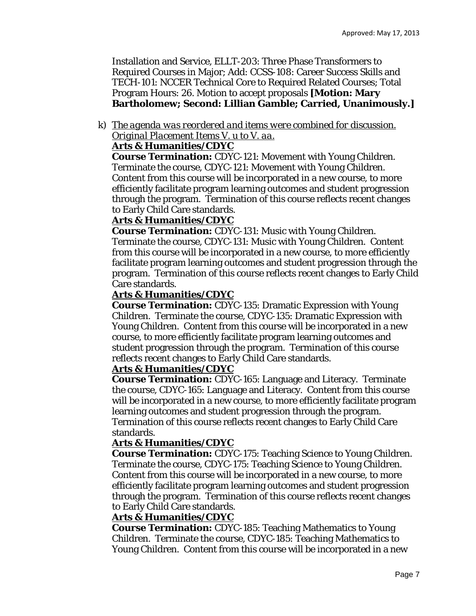Installation and Service, ELLT-203: Three Phase Transformers to Required Courses in Major; Add: CCSS-108: Career Success Skills and TECH-101: NCCER Technical Core to Required Related Courses; Total Program Hours: 26. Motion to accept proposals **[Motion: Mary Bartholomew; Second: Lillian Gamble; Carried, Unanimously.]** 

# k) *The agenda was reordered and items were combined for discussion. Original Placement Items V. u to V. aa.*

## **Arts & Humanities/CDYC**

**Course Termination:** CDYC-121: Movement with Young Children. Terminate the course, CDYC-121: Movement with Young Children. Content from this course will be incorporated in a new course, to more efficiently facilitate program learning outcomes and student progression through the program. Termination of this course reflects recent changes to Early Child Care standards.

## **Arts & Humanities/CDYC**

**Course Termination:** CDYC-131: Music with Young Children. Terminate the course, CDYC-131: Music with Young Children. Content from this course will be incorporated in a new course, to more efficiently facilitate program learning outcomes and student progression through the program. Termination of this course reflects recent changes to Early Child Care standards.

#### **Arts & Humanities/CDYC**

**Course Termination:** CDYC-135: Dramatic Expression with Young Children. Terminate the course, CDYC-135: Dramatic Expression with Young Children. Content from this course will be incorporated in a new course, to more efficiently facilitate program learning outcomes and student progression through the program. Termination of this course reflects recent changes to Early Child Care standards.

## **Arts & Humanities/CDYC**

**Course Termination:** CDYC-165: Language and Literacy. Terminate the course, CDYC-165: Language and Literacy. Content from this course will be incorporated in a new course, to more efficiently facilitate program learning outcomes and student progression through the program. Termination of this course reflects recent changes to Early Child Care standards.

## **Arts & Humanities/CDYC**

**Course Termination:** CDYC-175: Teaching Science to Young Children. Terminate the course, CDYC-175: Teaching Science to Young Children. Content from this course will be incorporated in a new course, to more efficiently facilitate program learning outcomes and student progression through the program. Termination of this course reflects recent changes to Early Child Care standards.

#### **Arts & Humanities/CDYC**

**Course Termination:** CDYC-185: Teaching Mathematics to Young Children. Terminate the course, CDYC-185: Teaching Mathematics to Young Children. Content from this course will be incorporated in a new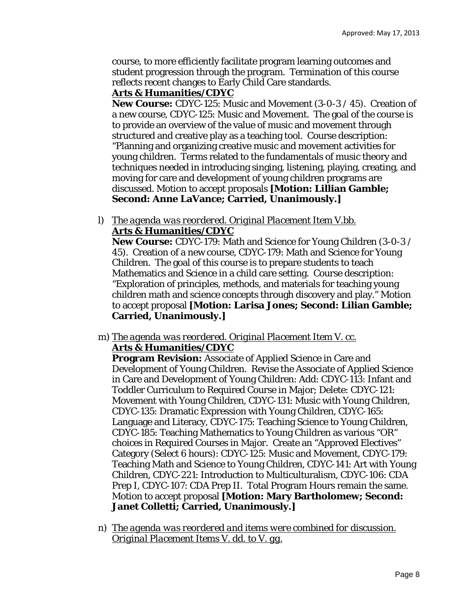course, to more efficiently facilitate program learning outcomes and student progression through the program. Termination of this course reflects recent changes to Early Child Care standards.

## **Arts & Humanities/CDYC**

**New Course:** CDYC-125: Music and Movement (3-0-3 / 45). Creation of a new course, CDYC-125: Music and Movement. The goal of the course is to provide an overview of the value of music and movement through structured and creative play as a teaching tool. Course description: "Planning and organizing creative music and movement activities for young children. Terms related to the fundamentals of music theory and techniques needed in introducing singing, listening, playing, creating, and moving for care and development of young children programs are discussed. Motion to accept proposals **[Motion: Lillian Gamble; Second: Anne LaVance; Carried, Unanimously.]** 

l) *The agenda was reordered. Original Placement Item V.bb.*  **Arts & Humanities/CDYC** 

**New Course:** CDYC-179: Math and Science for Young Children (3-0-3 / 45). Creation of a new course, CDYC-179: Math and Science for Young Children. The goal of this course is to prepare students to teach Mathematics and Science in a child care setting. Course description: "Exploration of principles, methods, and materials for teaching young children math and science concepts through discovery and play." Motion to accept proposal **[Motion: Larisa Jones; Second: Lilian Gamble; Carried, Unanimously.]** 

m) *The agenda was reordered. Original Placement Item V. cc.*  **Arts & Humanities/CDYC** 

**Program Revision:** Associate of Applied Science in Care and Development of Young Children. Revise the Associate of Applied Science in Care and Development of Young Children: Add: CDYC-113: Infant and Toddler Curriculum to Required Course in Major; Delete: CDYC-121: Movement with Young Children, CDYC-131: Music with Young Children, CDYC-135: Dramatic Expression with Young Children, CDYC-165: Language and Literacy, CDYC-175: Teaching Science to Young Children, CDYC-185: Teaching Mathematics to Young Children as various "OR" choices in Required Courses in Major. Create an "Approved Electives" Category (Select 6 hours): CDYC-125: Music and Movement, CDYC-179: Teaching Math and Science to Young Children, CDYC-141: Art with Young Children, CDYC-221: Introduction to Multiculturalism, CDYC-106: CDA Prep I, CDYC-107: CDA Prep II. Total Program Hours remain the same. Motion to accept proposal **[Motion: Mary Bartholomew; Second: Janet Colletti; Carried, Unanimously.]** 

n) *The agenda was reordered and items were combined for discussion. Original Placement Items V. dd. to V. gg.*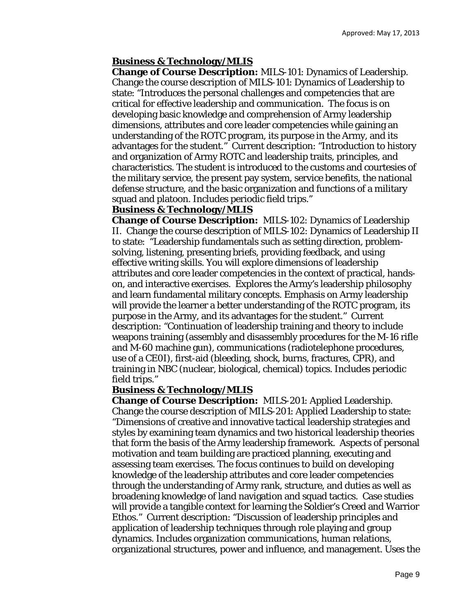#### **Business & Technology/MLIS**

**Change of Course Description:** MILS-101: Dynamics of Leadership. Change the course description of MILS-101: Dynamics of Leadership to state: "Introduces the personal challenges and competencies that are critical for effective leadership and communication. The focus is on developing basic knowledge and comprehension of Army leadership dimensions, attributes and core leader competencies while gaining an understanding of the ROTC program, its purpose in the Army, and its advantages for the student." Current description: "Introduction to history and organization of Army ROTC and leadership traits, principles, and characteristics. The student is introduced to the customs and courtesies of the military service, the present pay system, service benefits, the national defense structure, and the basic organization and functions of a military squad and platoon. Includes periodic field trips."

#### **Business & Technology/MLIS**

**Change of Course Description:** MILS-102: Dynamics of Leadership II. Change the course description of MILS-102: Dynamics of Leadership II to state: "Leadership fundamentals such as setting direction, problemsolving, listening, presenting briefs, providing feedback, and using effective writing skills. You will explore dimensions of leadership attributes and core leader competencies in the context of practical, handson, and interactive exercises. Explores the Army's leadership philosophy and learn fundamental military concepts. Emphasis on Army leadership will provide the learner a better understanding of the ROTC program, its purpose in the Army, and its advantages for the student." Current description: "Continuation of leadership training and theory to include weapons training (assembly and disassembly procedures for the M-16 rifle and M-60 machine gun), communications (radiotelephone procedures, use of a CE0I), first-aid (bleeding, shock, burns, fractures, CPR), and training in NBC (nuclear, biological, chemical) topics. Includes periodic field trips."

#### **Business & Technology/MLIS**

**Change of Course Description:** MILS-201: Applied Leadership. Change the course description of MILS-201: Applied Leadership to state: "Dimensions of creative and innovative tactical leadership strategies and styles by examining team dynamics and two historical leadership theories that form the basis of the Army leadership framework. Aspects of personal motivation and team building are practiced planning, executing and assessing team exercises. The focus continues to build on developing knowledge of the leadership attributes and core leader competencies through the understanding of Army rank, structure, and duties as well as broadening knowledge of land navigation and squad tactics. Case studies will provide a tangible context for learning the Soldier's Creed and Warrior Ethos." Current description: "Discussion of leadership principles and application of leadership techniques through role playing and group dynamics. Includes organization communications, human relations, organizational structures, power and influence, and management. Uses the